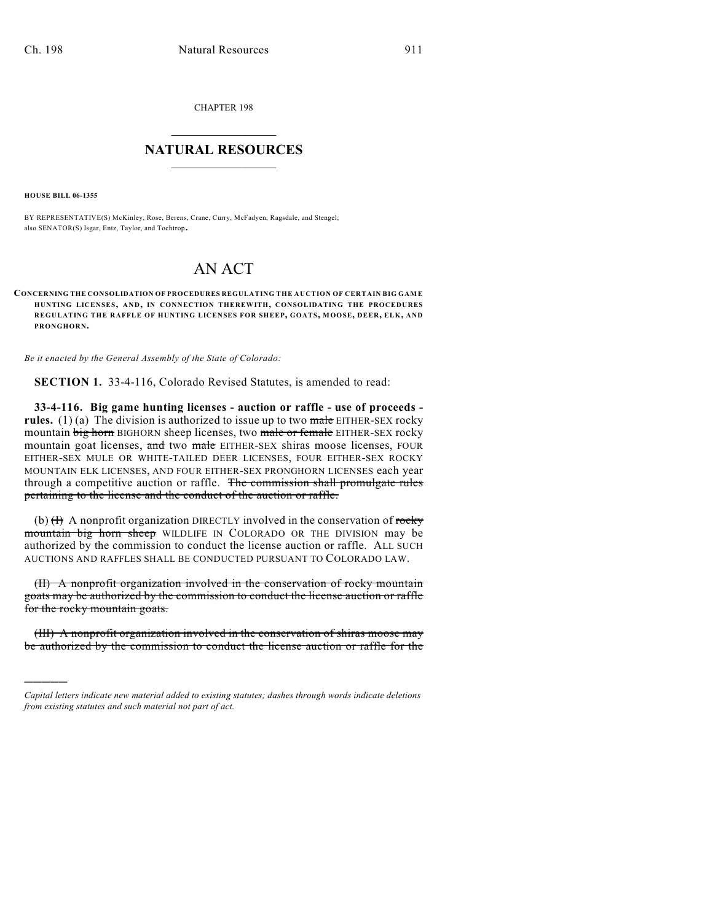CHAPTER 198

## $\overline{\phantom{a}}$  . The set of the set of the set of the set of the set of the set of the set of the set of the set of the set of the set of the set of the set of the set of the set of the set of the set of the set of the set o **NATURAL RESOURCES**  $\frac{1}{\sqrt{2}}$  , where  $\frac{1}{\sqrt{2}}$  ,  $\frac{1}{\sqrt{2}}$  ,  $\frac{1}{\sqrt{2}}$

**HOUSE BILL 06-1355**

)))))

BY REPRESENTATIVE(S) McKinley, Rose, Berens, Crane, Curry, McFadyen, Ragsdale, and Stengel; also SENATOR(S) Isgar, Entz, Taylor, and Tochtrop.

## AN ACT

**CONCERNING THE CONSOLIDATION OF PROCEDURES REGULATING THE AUCTION OF CERTAIN BIG GAM E HUNTING LICENSES, AND, IN CONNECTION THEREWITH, CONSOLIDATING THE PROCEDURES REGULATING THE RAFFLE OF HUNTING LICENSES FOR SHEEP, GOATS, MOOSE, DEER, ELK, AND PRONGHORN.**

*Be it enacted by the General Assembly of the State of Colorado:*

**SECTION 1.** 33-4-116, Colorado Revised Statutes, is amended to read:

**33-4-116. Big game hunting licenses - auction or raffle - use of proceeds rules.** (1) (a) The division is authorized to issue up to two  $\overline{\text{make}}$  EITHER-SEX rocky mountain big horn BIGHORN sheep licenses, two male or female EITHER-SEX rocky mountain goat licenses, and two male EITHER-SEX shiras moose licenses, FOUR EITHER-SEX MULE OR WHITE-TAILED DEER LICENSES, FOUR EITHER-SEX ROCKY MOUNTAIN ELK LICENSES, AND FOUR EITHER-SEX PRONGHORN LICENSES each year through a competitive auction or raffle. The commission shall promulgate rules pertaining to the license and the conduct of the auction or raffle.

(b)  $(H)$  A nonprofit organization DIRECTLY involved in the conservation of rocky mountain big horn sheep WILDLIFE IN COLORADO OR THE DIVISION may be authorized by the commission to conduct the license auction or raffle. ALL SUCH AUCTIONS AND RAFFLES SHALL BE CONDUCTED PURSUANT TO COLORADO LAW.

(II) A nonprofit organization involved in the conservation of rocky mountain goats may be authorized by the commission to conduct the license auction or raffle for the rocky mountain goats.

(III) A nonprofit organization involved in the conservation of shiras moose may be authorized by the commission to conduct the license auction or raffle for the

*Capital letters indicate new material added to existing statutes; dashes through words indicate deletions from existing statutes and such material not part of act.*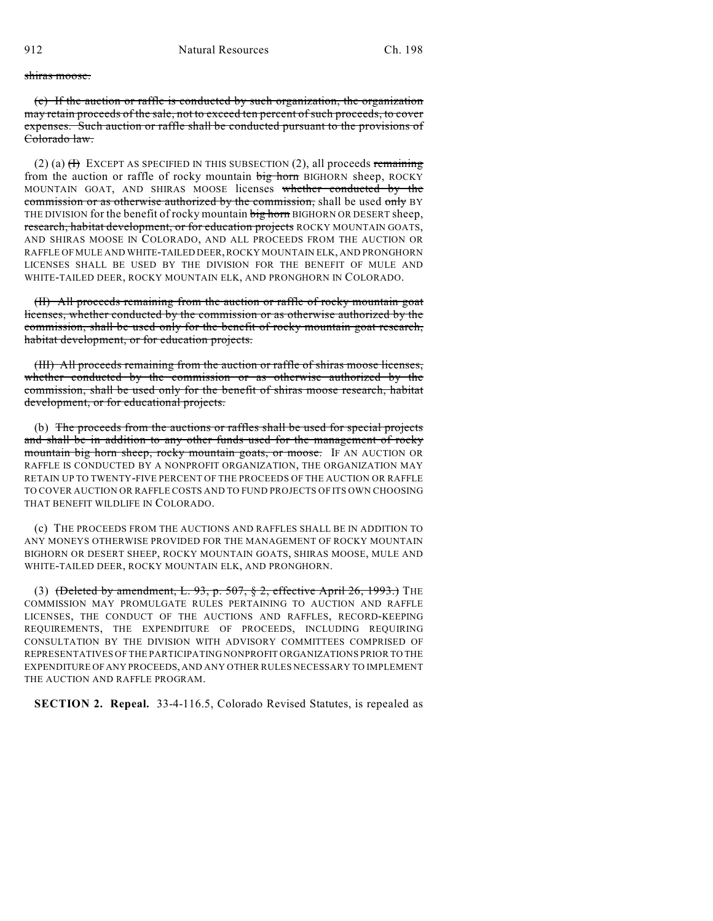## shiras moose.

(c) If the auction or raffle is conducted by such organization, the organization may retain proceeds of the sale, not to exceed ten percent of such proceeds, to cover expenses. Such auction or raffle shall be conducted pursuant to the provisions of Colorado law.

(2) (a)  $(H)$  EXCEPT AS SPECIFIED IN THIS SUBSECTION (2), all proceeds remaining from the auction or raffle of rocky mountain big horn BIGHORN sheep, ROCKY MOUNTAIN GOAT, AND SHIRAS MOOSE licenses whether conducted by the commission or as otherwise authorized by the commission, shall be used only BY THE DIVISION for the benefit of rocky mountain big horn BIGHORN OR DESERT sheep, research, habitat development, or for education projects ROCKY MOUNTAIN GOATS, AND SHIRAS MOOSE IN COLORADO, AND ALL PROCEEDS FROM THE AUCTION OR RAFFLE OF MULE AND WHITE-TAILED DEER, ROCKY MOUNTAIN ELK, AND PRONGHORN LICENSES SHALL BE USED BY THE DIVISION FOR THE BENEFIT OF MULE AND WHITE-TAILED DEER, ROCKY MOUNTAIN ELK, AND PRONGHORN IN COLORADO.

(II) All proceeds remaining from the auction or raffle of rocky mountain goat licenses, whether conducted by the commission or as otherwise authorized by the commission, shall be used only for the benefit of rocky mountain goat research, habitat development, or for education projects.

(III) All proceeds remaining from the auction or raffle of shiras moose licenses, whether conducted by the commission or as otherwise authorized by the commission, shall be used only for the benefit of shiras moose research, habitat development, or for educational projects.

(b) The proceeds from the auctions or raffles shall be used for special projects and shall be in addition to any other funds used for the management of rocky mountain big horn sheep, rocky mountain goats, or moose. IF AN AUCTION OR RAFFLE IS CONDUCTED BY A NONPROFIT ORGANIZATION, THE ORGANIZATION MAY RETAIN UP TO TWENTY-FIVE PERCENT OF THE PROCEEDS OF THE AUCTION OR RAFFLE TO COVER AUCTION OR RAFFLE COSTS AND TO FUND PROJECTS OF ITS OWN CHOOSING THAT BENEFIT WILDLIFE IN COLORADO.

(c) THE PROCEEDS FROM THE AUCTIONS AND RAFFLES SHALL BE IN ADDITION TO ANY MONEYS OTHERWISE PROVIDED FOR THE MANAGEMENT OF ROCKY MOUNTAIN BIGHORN OR DESERT SHEEP, ROCKY MOUNTAIN GOATS, SHIRAS MOOSE, MULE AND WHITE-TAILED DEER, ROCKY MOUNTAIN ELK, AND PRONGHORN.

(3) (Deleted by amendment, L. 93, p. 507,  $\S$  2, effective April 26, 1993.) THE COMMISSION MAY PROMULGATE RULES PERTAINING TO AUCTION AND RAFFLE LICENSES, THE CONDUCT OF THE AUCTIONS AND RAFFLES, RECORD-KEEPING REQUIREMENTS, THE EXPENDITURE OF PROCEEDS, INCLUDING REQUIRING CONSULTATION BY THE DIVISION WITH ADVISORY COMMITTEES COMPRISED OF REPRESENTATIVES OF THE PARTICIPATING NONPROFIT ORGANIZATIONS PRIOR TO THE EXPENDITURE OF ANY PROCEEDS, AND ANY OTHER RULES NECESSARY TO IMPLEMENT THE AUCTION AND RAFFLE PROGRAM.

**SECTION 2. Repeal.** 33-4-116.5, Colorado Revised Statutes, is repealed as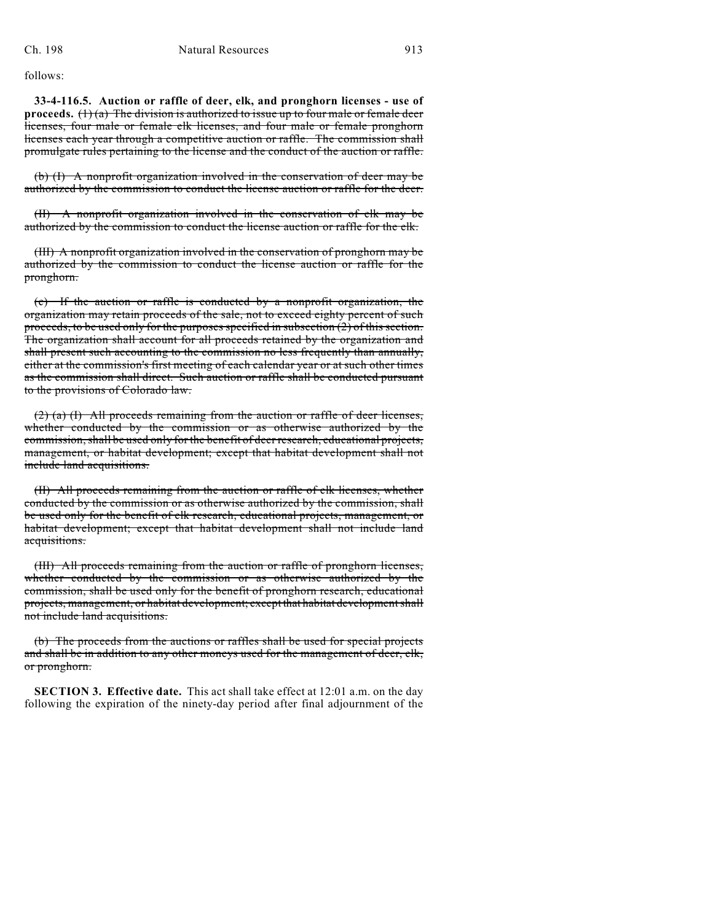follows:

**33-4-116.5. Auction or raffle of deer, elk, and pronghorn licenses - use of proceeds.**  $(1)(a)$  The division is authorized to issue up to four male or female deer licenses, four male or female elk licenses, and four male or female pronghorn licenses each year through a competitive auction or raffle. The commission shall promulgate rules pertaining to the license and the conduct of the auction or raffle.

(b) (I) A nonprofit organization involved in the conservation of deer may be authorized by the commission to conduct the license auction or raffle for the deer.

(II) A nonprofit organization involved in the conservation of elk may be authorized by the commission to conduct the license auction or raffle for the elk.

(III) A nonprofit organization involved in the conservation of pronghorn may be authorized by the commission to conduct the license auction or raffle for the pronghorn.

(c) If the auction or raffle is conducted by a nonprofit organization, the organization may retain proceeds of the sale, not to exceed eighty percent of such proceeds, to be used only for the purposes specified in subsection  $(2)$  of this section. The organization shall account for all proceeds retained by the organization and shall present such accounting to the commission no less frequently than annually, either at the commission's first meeting of each calendar year or at such other times as the commission shall direct. Such auction or raffle shall be conducted pursuant to the provisions of Colorado law.

(2) (a) (I) All proceeds remaining from the auction or raffle of deer licenses, whether conducted by the commission or as otherwise authorized by the commission, shall be used only for the benefit of deer research, educational projects, management, or habitat development; except that habitat development shall not include land acquisitions.

(II) All proceeds remaining from the auction or raffle of elk licenses, whether conducted by the commission or as otherwise authorized by the commission, shall be used only for the benefit of elk research, educational projects, management, or habitat development; except that habitat development shall not include land acquisitions.

(III) All proceeds remaining from the auction or raffle of pronghorn licenses, whether conducted by the commission or as otherwise authorized by the commission, shall be used only for the benefit of pronghorn research, educational projects, management, or habitat development; except that habitat development shall not include land acquisitions.

(b) The proceeds from the auctions or raffles shall be used for special projects and shall be in addition to any other moneys used for the management of deer, elk, or pronghorn.

**SECTION 3. Effective date.** This act shall take effect at 12:01 a.m. on the day following the expiration of the ninety-day period after final adjournment of the